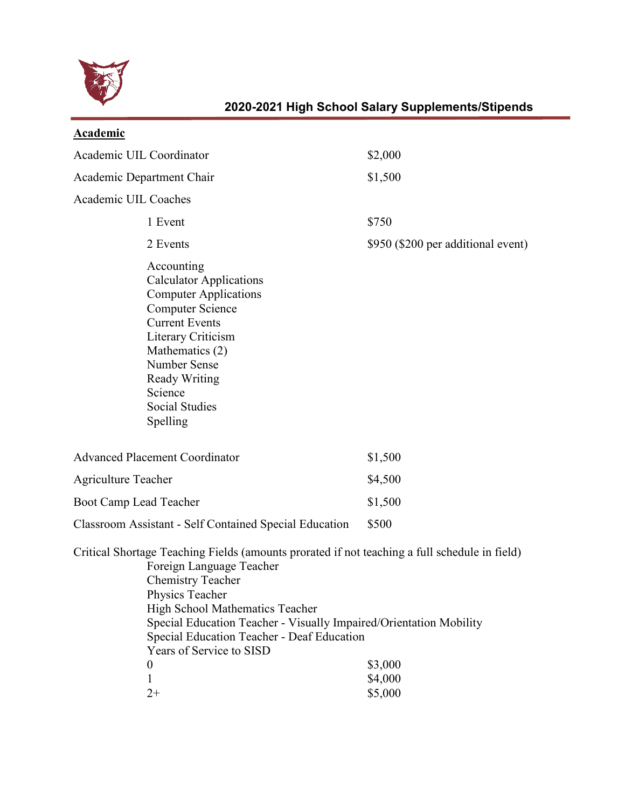

| <b>Academic</b>                                                                                                                                                                                                                                                                                                                                                                      |                                    |
|--------------------------------------------------------------------------------------------------------------------------------------------------------------------------------------------------------------------------------------------------------------------------------------------------------------------------------------------------------------------------------------|------------------------------------|
| Academic UIL Coordinator                                                                                                                                                                                                                                                                                                                                                             | \$2,000                            |
| Academic Department Chair                                                                                                                                                                                                                                                                                                                                                            | \$1,500                            |
| Academic UIL Coaches                                                                                                                                                                                                                                                                                                                                                                 |                                    |
| 1 Event                                                                                                                                                                                                                                                                                                                                                                              | \$750                              |
| 2 Events                                                                                                                                                                                                                                                                                                                                                                             | \$950 (\$200 per additional event) |
| Accounting<br><b>Calculator Applications</b><br><b>Computer Applications</b><br><b>Computer Science</b><br><b>Current Events</b><br>Literary Criticism<br>Mathematics (2)<br>Number Sense<br><b>Ready Writing</b><br>Science<br><b>Social Studies</b><br>Spelling                                                                                                                    |                                    |
| <b>Advanced Placement Coordinator</b>                                                                                                                                                                                                                                                                                                                                                | \$1,500                            |
| <b>Agriculture Teacher</b>                                                                                                                                                                                                                                                                                                                                                           | \$4,500                            |
| Boot Camp Lead Teacher                                                                                                                                                                                                                                                                                                                                                               | \$1,500                            |
| <b>Classroom Assistant - Self Contained Special Education</b>                                                                                                                                                                                                                                                                                                                        | \$500                              |
| Critical Shortage Teaching Fields (amounts prorated if not teaching a full schedule in field)<br>Foreign Language Teacher<br><b>Chemistry Teacher</b><br>Physics Teacher<br>High School Mathematics Teacher<br>Special Education Teacher - Visually Impaired/Orientation Mobility<br>Special Education Teacher - Deaf Education<br>Years of Service to SISD<br>$\theta$<br>1<br>$2+$ | \$3,000<br>\$4,000<br>\$5,000      |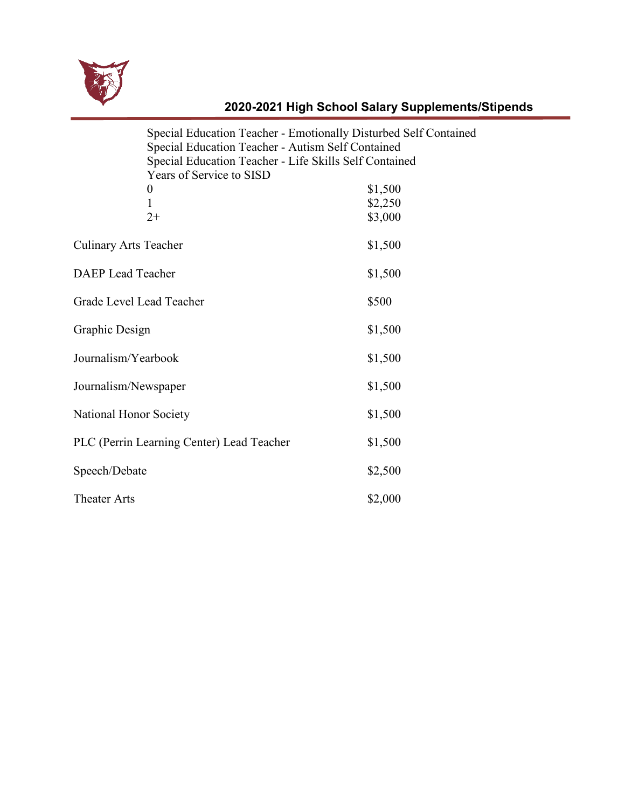

|                              | Special Education Teacher - Emotionally Disturbed Self Contained<br>Special Education Teacher - Autism Self Contained |                    |  |
|------------------------------|-----------------------------------------------------------------------------------------------------------------------|--------------------|--|
|                              | Special Education Teacher - Life Skills Self Contained                                                                |                    |  |
|                              | Years of Service to SISD                                                                                              |                    |  |
|                              | $\boldsymbol{0}$                                                                                                      | \$1,500            |  |
|                              | 1<br>$2+$                                                                                                             | \$2,250<br>\$3,000 |  |
|                              |                                                                                                                       |                    |  |
| <b>Culinary Arts Teacher</b> |                                                                                                                       | \$1,500            |  |
| <b>DAEP</b> Lead Teacher     |                                                                                                                       | \$1,500            |  |
| Grade Level Lead Teacher     |                                                                                                                       | \$500              |  |
| Graphic Design               |                                                                                                                       | \$1,500            |  |
| Journalism/Yearbook          |                                                                                                                       | \$1,500            |  |
| Journalism/Newspaper         |                                                                                                                       | \$1,500            |  |
| National Honor Society       |                                                                                                                       | \$1,500            |  |
|                              | PLC (Perrin Learning Center) Lead Teacher                                                                             | \$1,500            |  |
| Speech/Debate                |                                                                                                                       | \$2,500            |  |
| <b>Theater Arts</b>          |                                                                                                                       | \$2,000            |  |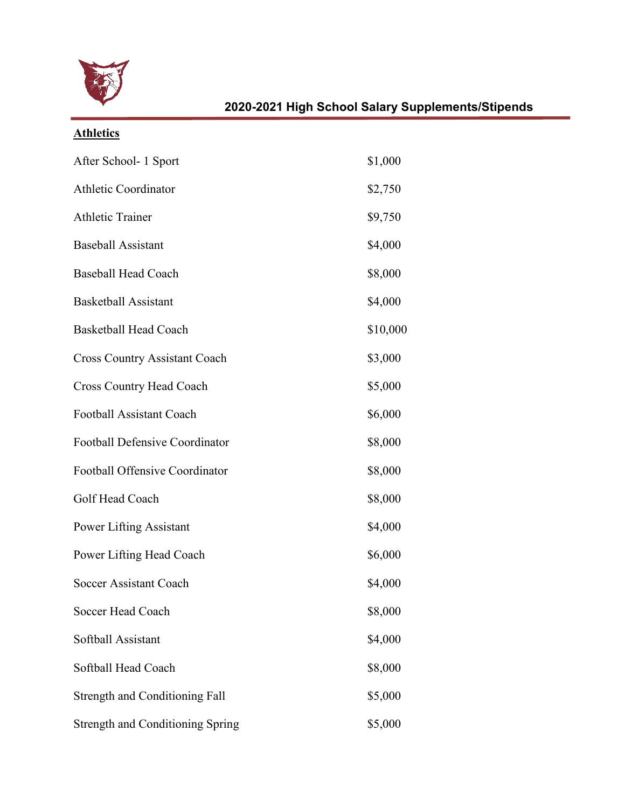

## **Athletics**

| After School- 1 Sport                   | \$1,000  |
|-----------------------------------------|----------|
| <b>Athletic Coordinator</b>             | \$2,750  |
| <b>Athletic Trainer</b>                 | \$9,750  |
| <b>Baseball Assistant</b>               | \$4,000  |
| <b>Baseball Head Coach</b>              | \$8,000  |
| <b>Basketball Assistant</b>             | \$4,000  |
| <b>Basketball Head Coach</b>            | \$10,000 |
| <b>Cross Country Assistant Coach</b>    | \$3,000  |
| <b>Cross Country Head Coach</b>         | \$5,000  |
| <b>Football Assistant Coach</b>         | \$6,000  |
| <b>Football Defensive Coordinator</b>   | \$8,000  |
| Football Offensive Coordinator          | \$8,000  |
| Golf Head Coach                         | \$8,000  |
| <b>Power Lifting Assistant</b>          | \$4,000  |
| Power Lifting Head Coach                | \$6,000  |
| Soccer Assistant Coach                  | \$4,000  |
| Soccer Head Coach                       | \$8,000  |
| Softball Assistant                      | \$4,000  |
| Softball Head Coach                     | \$8,000  |
| <b>Strength and Conditioning Fall</b>   | \$5,000  |
| <b>Strength and Conditioning Spring</b> | \$5,000  |